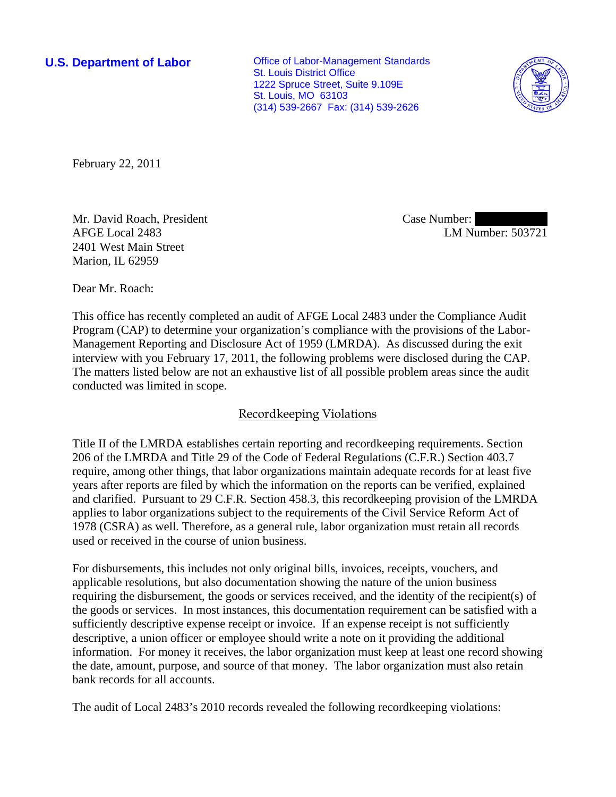**U.S. Department of Labor Conservative Conservative Conservative Conservative Conservative Conservative Conservative Conservative Conservative Conservative Conservative Conservative Conservative Conservative Conservative** St. Louis District Office 1222 Spruce Street, Suite 9.109E St. Louis, MO 63103 (314) 539-2667 Fax: (314) 539-2626



February 22, 2011

Mr. David Roach, President AFGE Local 2483 2401 West Main Street Marion, IL 62959

Case Number: LM Number: 503721

Dear Mr. Roach:

This office has recently completed an audit of AFGE Local 2483 under the Compliance Audit Program (CAP) to determine your organization's compliance with the provisions of the Labor-Management Reporting and Disclosure Act of 1959 (LMRDA). As discussed during the exit interview with you February 17, 2011, the following problems were disclosed during the CAP. The matters listed below are not an exhaustive list of all possible problem areas since the audit conducted was limited in scope.

# Recordkeeping Violations

Title II of the LMRDA establishes certain reporting and recordkeeping requirements. Section 206 of the LMRDA and Title 29 of the Code of Federal Regulations (C.F.R.) Section 403.7 require, among other things, that labor organizations maintain adequate records for at least five years after reports are filed by which the information on the reports can be verified, explained and clarified. Pursuant to 29 C.F.R. Section 458.3, this recordkeeping provision of the LMRDA applies to labor organizations subject to the requirements of the Civil Service Reform Act of 1978 (CSRA) as well. Therefore, as a general rule, labor organization must retain all records used or received in the course of union business.

For disbursements, this includes not only original bills, invoices, receipts, vouchers, and applicable resolutions, but also documentation showing the nature of the union business requiring the disbursement, the goods or services received, and the identity of the recipient(s) of the goods or services. In most instances, this documentation requirement can be satisfied with a sufficiently descriptive expense receipt or invoice. If an expense receipt is not sufficiently descriptive, a union officer or employee should write a note on it providing the additional information. For money it receives, the labor organization must keep at least one record showing the date, amount, purpose, and source of that money. The labor organization must also retain bank records for all accounts.

The audit of Local 2483's 2010 records revealed the following recordkeeping violations: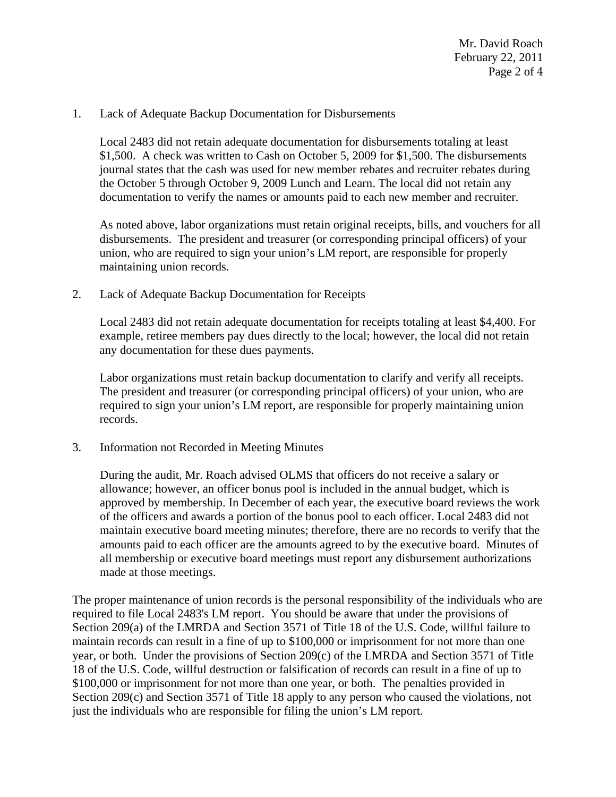#### 1. Lack of Adequate Backup Documentation for Disbursements

Local 2483 did not retain adequate documentation for disbursements totaling at least \$1,500. A check was written to Cash on October 5, 2009 for \$1,500. The disbursements journal states that the cash was used for new member rebates and recruiter rebates during the October 5 through October 9, 2009 Lunch and Learn. The local did not retain any documentation to verify the names or amounts paid to each new member and recruiter.

As noted above, labor organizations must retain original receipts, bills, and vouchers for all disbursements. The president and treasurer (or corresponding principal officers) of your union, who are required to sign your union's LM report, are responsible for properly maintaining union records.

2. Lack of Adequate Backup Documentation for Receipts

Local 2483 did not retain adequate documentation for receipts totaling at least \$4,400. For example, retiree members pay dues directly to the local; however, the local did not retain any documentation for these dues payments.

Labor organizations must retain backup documentation to clarify and verify all receipts. The president and treasurer (or corresponding principal officers) of your union, who are required to sign your union's LM report, are responsible for properly maintaining union records.

3. Information not Recorded in Meeting Minutes

During the audit, Mr. Roach advised OLMS that officers do not receive a salary or allowance; however, an officer bonus pool is included in the annual budget, which is approved by membership. In December of each year, the executive board reviews the work of the officers and awards a portion of the bonus pool to each officer. Local 2483 did not maintain executive board meeting minutes; therefore, there are no records to verify that the amounts paid to each officer are the amounts agreed to by the executive board. Minutes of all membership or executive board meetings must report any disbursement authorizations made at those meetings.

The proper maintenance of union records is the personal responsibility of the individuals who are required to file Local 2483's LM report. You should be aware that under the provisions of Section 209(a) of the LMRDA and Section 3571 of Title 18 of the U.S. Code, willful failure to maintain records can result in a fine of up to \$100,000 or imprisonment for not more than one year, or both. Under the provisions of Section 209(c) of the LMRDA and Section 3571 of Title 18 of the U.S. Code, willful destruction or falsification of records can result in a fine of up to \$100,000 or imprisonment for not more than one year, or both. The penalties provided in Section 209(c) and Section 3571 of Title 18 apply to any person who caused the violations, not just the individuals who are responsible for filing the union's LM report.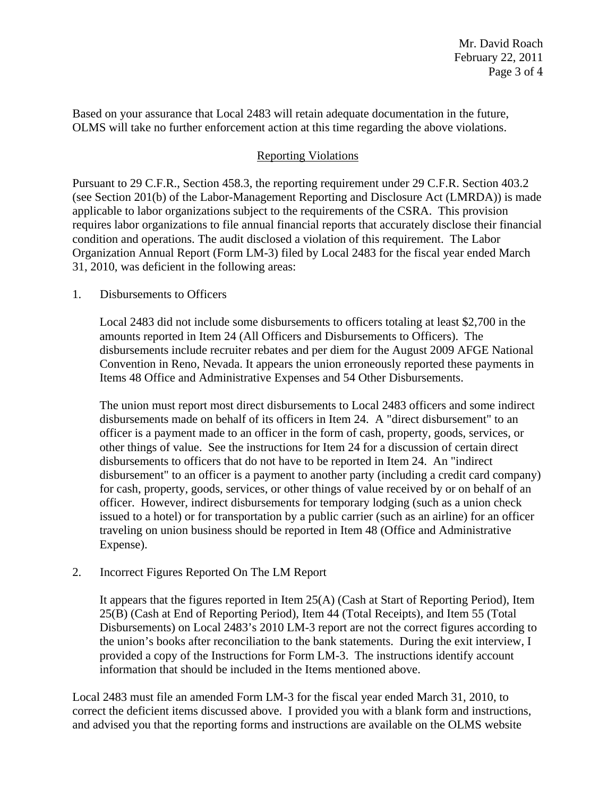Based on your assurance that Local 2483 will retain adequate documentation in the future, OLMS will take no further enforcement action at this time regarding the above violations.

# Reporting Violations

Pursuant to 29 C.F.R., Section 458.3, the reporting requirement under 29 C.F.R. Section 403.2 (see Section 201(b) of the Labor-Management Reporting and Disclosure Act (LMRDA)) is made applicable to labor organizations subject to the requirements of the CSRA. This provision requires labor organizations to file annual financial reports that accurately disclose their financial condition and operations. The audit disclosed a violation of this requirement. The Labor Organization Annual Report (Form LM-3) filed by Local 2483 for the fiscal year ended March 31, 2010, was deficient in the following areas:

#### 1. Disbursements to Officers

Local 2483 did not include some disbursements to officers totaling at least \$2,700 in the amounts reported in Item 24 (All Officers and Disbursements to Officers). The disbursements include recruiter rebates and per diem for the August 2009 AFGE National Convention in Reno, Nevada. It appears the union erroneously reported these payments in Items 48 Office and Administrative Expenses and 54 Other Disbursements.

The union must report most direct disbursements to Local 2483 officers and some indirect disbursements made on behalf of its officers in Item 24. A "direct disbursement" to an officer is a payment made to an officer in the form of cash, property, goods, services, or other things of value. See the instructions for Item 24 for a discussion of certain direct disbursements to officers that do not have to be reported in Item 24. An "indirect disbursement" to an officer is a payment to another party (including a credit card company) for cash, property, goods, services, or other things of value received by or on behalf of an officer. However, indirect disbursements for temporary lodging (such as a union check issued to a hotel) or for transportation by a public carrier (such as an airline) for an officer traveling on union business should be reported in Item 48 (Office and Administrative Expense).

### 2. Incorrect Figures Reported On The LM Report

It appears that the figures reported in Item 25(A) (Cash at Start of Reporting Period), Item 25(B) (Cash at End of Reporting Period), Item 44 (Total Receipts), and Item 55 (Total Disbursements) on Local 2483's 2010 LM-3 report are not the correct figures according to the union's books after reconciliation to the bank statements. During the exit interview, I provided a copy of the Instructions for Form LM-3. The instructions identify account information that should be included in the Items mentioned above.

Local 2483 must file an amended Form LM-3 for the fiscal year ended March 31, 2010, to correct the deficient items discussed above. I provided you with a blank form and instructions, and advised you that the reporting forms and instructions are available on the OLMS website